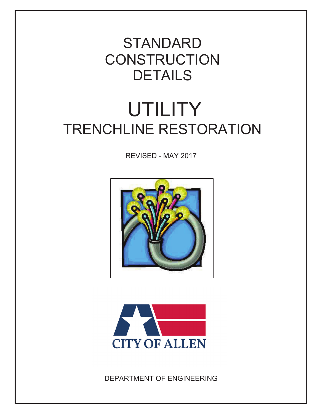## **DETAILS CONSTRUCTION** STANDARD

## **UTILITY** TRENCHLINE RESTORATION

REVISED - MAY 2017





DEPARTMENT OF ENGINEERING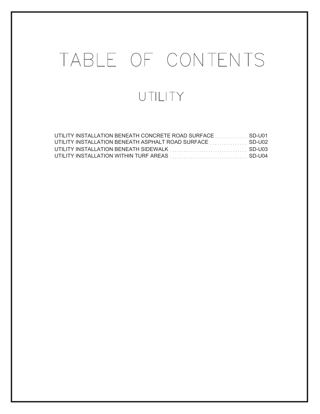## TABLE OF CONTENTS UTILITY

| UTILITY INSTALLATION BENEATH ASPHALT ROAD SURFACE SD-U02 |  |
|----------------------------------------------------------|--|
|                                                          |  |
|                                                          |  |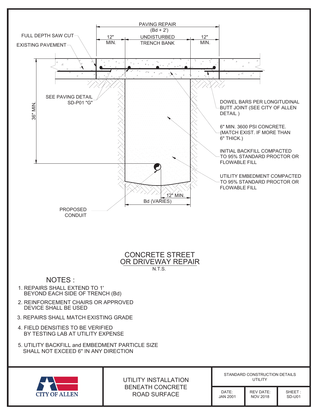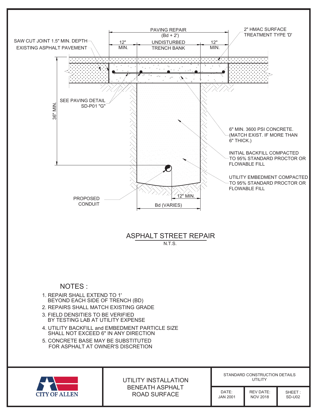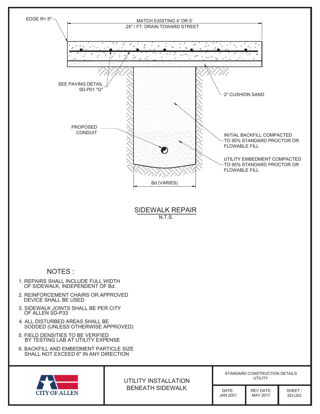